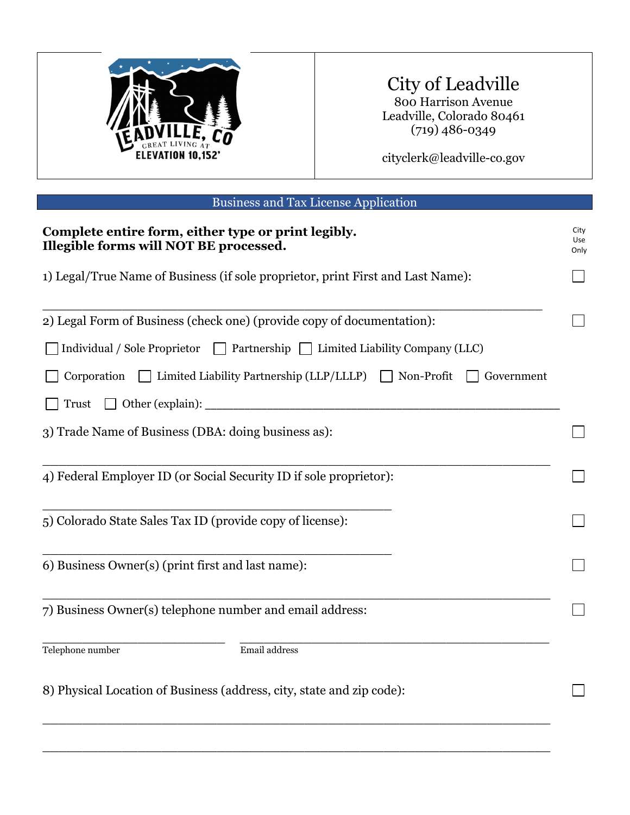

## City of Leadville

800 Harrison Avenue Leadville, Colorado 80461 (719) 486-0349

cityclerk@leadville-co.gov

| <b>Business and Tax License Application</b>                                                   |                     |
|-----------------------------------------------------------------------------------------------|---------------------|
| Complete entire form, either type or print legibly.<br>Illegible forms will NOT BE processed. | City<br>Use<br>Only |
| 1) Legal/True Name of Business (if sole proprietor, print First and Last Name):               |                     |
| 2) Legal Form of Business (check one) (provide copy of documentation):                        |                     |
| Individual / Sole Proprietor<br>□ Partnership □ Limited Liability Company (LLC)               |                     |
| $\Box$ Limited Liability Partnership (LLP/LLLP)<br>Non-Profit<br>Corporation<br>Government    |                     |
| Trust                                                                                         |                     |
| 3) Trade Name of Business (DBA: doing business as):                                           |                     |
| 4) Federal Employer ID (or Social Security ID if sole proprietor):                            |                     |
| 5) Colorado State Sales Tax ID (provide copy of license):                                     |                     |
| 6) Business Owner(s) (print first and last name):                                             |                     |
| 7) Business Owner(s) telephone number and email address:                                      |                     |
| Email address<br>Telephone number                                                             |                     |
| 8) Physical Location of Business (address, city, state and zip code):                         |                     |

\_\_\_\_\_\_\_\_\_\_\_\_\_\_\_\_\_\_\_\_\_\_\_\_\_\_\_\_\_\_\_\_\_\_\_\_\_\_\_\_\_\_\_\_\_\_\_\_\_\_\_\_\_\_\_\_\_\_\_\_\_\_\_\_